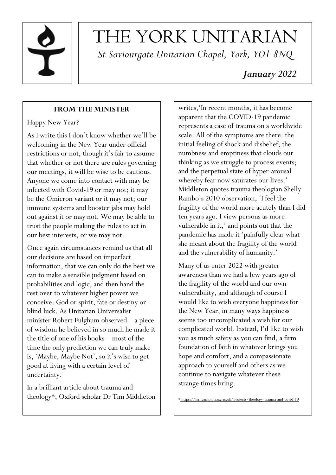

# THE YORK UNITARIAN *St Saviourgate Unitarian Chapel, York, YO1 8NQ*

# *January 2022*

# **FROM THE MINISTER**

# Happy New Year?

As I write this I don't know whether we'll be welcoming in the New Year under official restrictions or not, though it's fair to assume that whether or not there are rules governing our meetings, it will be wise to be cautious. Anyone we come into contact with may be infected with Covid-19 or may not; it may be the Omicron variant or it may not; our immune systems and booster jabs may hold out against it or may not. We may be able to trust the people making the rules to act in our best interests, or we may not.

Once again circumstances remind us that all our decisions are based on imperfect information, that we can only do the best we can to make a sensible judgment based on probabilities and logic, and then hand the rest over to whatever higher power we conceive: God or spirit, fate or destiny or blind luck. As Unitarian Universalist minister Robert Fulghum observed – a piece of wisdom he believed in so much he made it the title of one of his books – most of the time the only prediction we can truly make is, 'Maybe, Maybe Not', so it's wise to get good at living with a certain level of uncertainty.

In a brilliant article about trauma and theology\*, Oxford scholar Dr Tim Middleton writes,'In recent months, it has become apparent that the COVID-19 pandemic represents a case of trauma on a worldwide scale. All of the symptoms are there: the initial feeling of shock and disbelief; the numbness and emptiness that clouds our thinking as we struggle to process events; and the perpetual state of hyper-arousal whereby fear now saturates our lives.' Middleton quotes trauma theologian Shelly Rambo's 2010 observation, 'I feel the fragility of the world more acutely than I did ten years ago. I view persons as more vulnerable in it,' and points out that the pandemic has made it 'painfully clear what she meant about the fragility of the world and the vulnerability of humanity.'

Many of us enter 2022 with greater awareness than we had a few years ago of the fragility of the world and our own vulnerability, and although of course I would like to wish everyone happiness for the New Year, in many ways happiness seems too uncomplicated a wish for our complicated world. Instead, I'd like to wish you as much safety as you can find, a firm foundation of faith in whatever brings you hope and comfort, and a compassionate approach to yourself and others as we continue to navigate whatever these strange times bring.

\* https://lsri.campion.ox.ac.uk/projects/theology-trauma-and-covid-19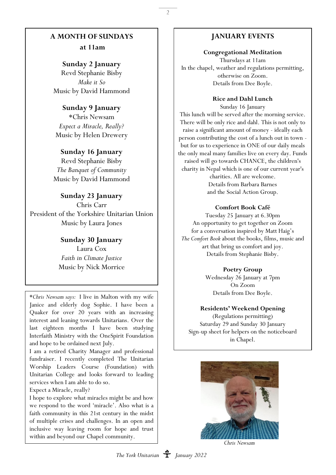#### **A MONTH OF SUNDAYS**

**at 11am**

#### **Sunday 2 January**

Revd Stephanie Bisby *Make it So* Music by David Hammond

#### **Sunday 9 January**

\*Chris Newsam *Expect a Miracle, Really?* Music by Helen Drewery

## **Sunday 16 January**

Revd Stephanie Bisby *The Banquet of Community* Music by David Hammond

**Sunday 23 January** Chris Carr President of the Yorkshire Unitarian Union Music by Laura Jones

> **Sunday 30 January** Laura Cox *Faith in Climate Justice* Music by Nick Morrice

\**Chris Newsam says:* I live in Malton with my wife Janice and elderly dog Sophie. I have been a Quaker for over 20 years with an increasing interest and leaning towards Unitarians. Over the last eighteen months I have been studying Interfaith Ministry with the OneSpirit Foundation and hope to be ordained next July.

I am a retired Charity Manager and professional fundraiser. I recently completed The Unitarian Worship Leaders Course (Foundation) with Unitarian College and looks forward to leading services when I am able to do so.

Expect a Miracle, really?

I hope to explore what miracles might be and how we respond to the word 'miracle'. Also what is a faith community in this 21st century in the midst of multiple crises and challenges. In an open and inclusive way leaving room for hope and trust within and beyond our Chapel community.

## **JANUARY EVENTS**

2

#### **Congregational Meditation**

Thursdays at 11am In the chapel, weather and regulations permitting, otherwise on Zoom. Details from Dee Boyle.

**Rice and Dahl Lunch** 

Sunday 16 January This lunch will be served after the morning service. There will be only rice and dahl. This is not only to raise a significant amount of money - ideally each person contributing the cost of a lunch out in town but for us to experience in ONE of our daily meals the only meal many families live on every day. Funds raised will go towards CHANCE, the children's charity in Nepal which is one of our current year's charities. All are welcome. Details from Barbara Barnes and the Social Action Group.

#### **Comfort Book Café**

Tuesday 25 January at 6.30pm An opportunity to get together on Zoom for a conversation inspired by Matt Haig's *The Comfort Book* about the books, films, music and art that bring us comfort and joy. Details from Stephanie Bisby.

#### **Poetry Group**

Wednesday 26 January at 7pm On Zoom Details from Dee Boyle.

#### **Residents' Weekend Opening**

(Regulations permitting) Saturday 29 and Sunday 30 January Sign-up sheet for helpers on the noticeboard in Chapel.



*Chris Newsam*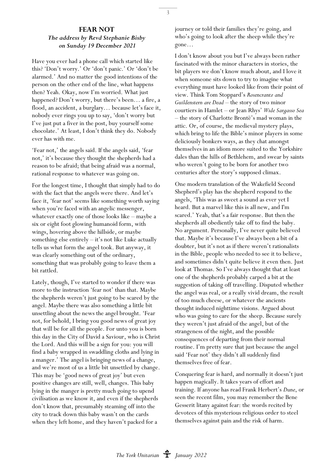#### **FEAR NOT** *The address by Revd Stephanie Bisby on Sunday 19 December 2021*

Have you ever had a phone call which started like this? 'Don't worry.' Or 'don't panic.' Or 'don't be alarmed.' And no matter the good intentions of the person on the other end of the line, what happens then? Yeah. Okay, now I'm worried. What just happened? Don't worry, but there's been… a fire, a flood, an accident, a burglary… because let's face it, nobody ever rings you up to say, 'don't worry but I've just put a fiver in the post, buy yourself some chocolate.' At least, I don't think they do. Nobody ever has with me.

'Fear not,' the angels said. If the angels said, 'fear not,' it's because they thought the shepherds had a reason to be afraid; that being afraid was a normal, rational response to whatever was going on.

For the longest time, I thought that simply had to do with the fact that the angels were there. And let's face it, 'fear not' seems like something worth saying when you're faced with an angelic messenger, whatever exactly one of those looks like – maybe a six or eight foot glowing humanoid form, with wings, hovering above the hillside, or maybe something else entirely – it's not like Luke actually tells us what form the angel took. But anyway, it was clearly something out of the ordinary, something that was probably going to leave them a bit rattled.

Lately, though, I've started to wonder if there was more to the instruction 'fear not' than that. Maybe the shepherds weren't just going to be scared by the angel. Maybe there was also something a little bit unsettling about the news the angel brought. 'Fear not, for behold, I bring you good news of great joy that will be for all the people. For unto you is born this day in the City of David a Saviour, who is Christ the Lord. And this will be a sign for you: you will find a baby wrapped in swaddling cloths and lying in a manger.' The angel is bringing news of a change, and we're most of us a little bit unsettled by change. This may be 'good news of great joy' but even positive changes are still, well, changes. This baby lying in the manger is pretty much going to upend civilisation as we know it, and even if the shepherds don't know that, presumably steaming off into the city to track down this baby wasn't on the cards when they left home, and they haven't packed for a

journey or told their families they're going, and who's going to look after the sheep while they're gone…

I don't know about you but I've always been rather fascinated with the minor characters in stories, the bit players we don't know much about, and I love it when someone sits down to try to imagine what everything must have looked like from their point of view. Think Tom Stoppard's *Rosencrantz and Guildenstern are Dead* – the story of two minor courtiers in Hamlet – or Jean Rhys' *Wide Sargasso Sea* – the story of Charlotte Brontë's mad woman in the attic. Or, of course, the medieval mystery plays, which bring to life the Bible's minor players in some deliciously bonkers ways, as they chat amongst themselves in an idiom more suited to the Yorkshire dales than the hills of Bethlehem, and swear by saints who weren't going to be born for another two centuries after the story's supposed climax.

One modern translation of the Wakefield Second Shepherd's play has the shepherd respond to the angels, 'This was as sweet a sound as ever yet I heard. But a marvel like this is all new, and I'm scared.' Yeah, that's a fair response. But then the shepherds all obediently take off to find the baby. No argument. Personally, I've never quite believed that. Maybe it's because I've always been a bit of a doubter, but it's not as if there weren't rationalists in the Bible, people who needed to see it to believe, and sometimes didn't quite believe it even then. Just look at Thomas. So I've always thought that at least one of the shepherds probably carped a bit at the suggestion of taking off travelling. Disputed whether the angel was real, or a really vivid dream, the result of too much cheese, or whatever the ancients thought induced nighttime visions. Argued about who was going to care for the sheep. Because surely they weren't just afraid of the angel, but of the strangeness of the night, and the possible consequences of departing from their normal routine. I'm pretty sure that just because the angel said 'Fear not' they didn't all suddenly find themselves free of fear.

Conquering fear is hard, and normally it doesn't just happen magically. It takes years of effort and training. If anyone has read Frank Herbert's *Dune*, or seen the recent film, you may remember the Bene Gesserit litany against fear: the words recited by devotees of this mysterious religious order to steel themselves against pain and the risk of harm.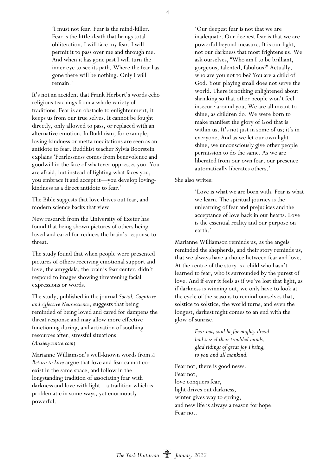'I must not fear. Fear is the mind-killer. Fear is the little-death that brings total obliteration. I will face my fear. I will permit it to pass over me and through me. And when it has gone past I will turn the inner eye to see its path. Where the fear has gone there will be nothing. Only I will remain.'

It's not an accident that Frank Herbert's words echo religious teachings from a whole variety of traditions. Fear is an obstacle to enlightenment, it keeps us from our true selves. It cannot be fought directly, only allowed to pass, or replaced with an alternative emotion. In Buddhism, for example, loving-kindness or metta meditations are seen as an antidote to fear. Buddhist teacher Sylvia Boorstein explains 'Fearlessness comes from benevolence and goodwill in the face of whatever oppresses you. You are afraid, but instead of fighting what faces you, you embrace it and accept it—you develop lovingkindness as a direct antidote to fear.'

The Bible suggests that love drives out fear, and modern science backs that view.

New research from the University of Exeter has found that being shown pictures of others being loved and cared for reduces the brain's response to threat.

The study found that when people were presented pictures of others receiving emotional support and love, the amygdala, the brain's fear center, didn't respond to images showing threatening facial expressions or words.

The study, published in the journal *Social, Cognitive and Affective Neuroscience*, suggests that being reminded of being loved and cared for dampens the threat response and may allow more effective functioning during, and activation of soothing resources after, stressful situations. (*Anxietycentre.com*)

Marianne Williamson's well-known words from *A Return to Love* argue that love and fear cannot coexist in the same space, and follow in the longstanding tradition of associating fear with darkness and love with light – a tradition which is problematic in some ways, yet enormously powerful.

'Our deepest fear is not that we are inadequate. Our deepest fear is that we are powerful beyond measure. It is our light, not our darkness that most frightens us. We ask ourselves, "Who am I to be brilliant, gorgeous, talented, fabulous?" Actually, who are you not to be? You are a child of God. Your playing small does not serve the world. There is nothing enlightened about shrinking so that other people won't feel insecure around you. We are all meant to shine, as children do. We were born to make manifest the glory of God that is within us. It's not just in some of us; it's in everyone. And as we let our own light shine, we unconsciously give other people permission to do the same. As we are liberated from our own fear, our presence automatically liberates others.'

She also writes:

'Love is what we are born with. Fear is what we learn. The spiritual journey is the unlearning of fear and prejudices and the acceptance of love back in our hearts. Love is the essential reality and our purpose on earth.'

Marianne Williamson reminds us, as the angels reminded the shepherds, and their story reminds us, that we always have a choice between fear and love. At the centre of the story is a child who hasn't learned to fear, who is surrounded by the purest of love. And if ever it feels as if we've lost that light, as if darkness is winning out, we only have to look at the cycle of the seasons to remind ourselves that, solstice to solstice, the world turns, and even the longest, darkest night comes to an end with the glow of sunrise.

> *Fear not, said he for mighty dread had seized their troubled minds, glad tidings of great joy I bring, to you and all mankind.*

Fear not, there is good news. Fear not, love conquers fear, light drives out darkness, winter gives way to spring, and new life is always a reason for hope. Fear not.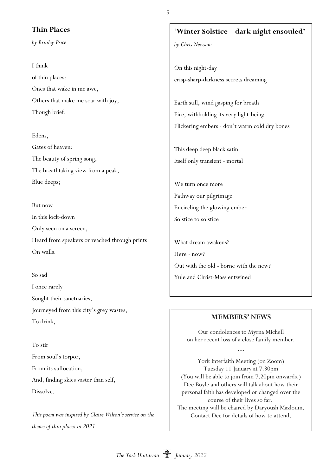#### **Thin Places**

*by Brinley Price*

I think of thin places: Ones that wake in me awe, Others that make me soar with joy, Though brief.

Edens, Gates of heaven: The beauty of spring song, The breathtaking view from a peak, Blue deeps;

But now In this lock-down Only seen on a screen, Heard from speakers or reached through prints On walls.

So sad I once rarely Sought their sanctuaries, Journeyed from this city's grey wastes, To drink,

To stir From soul's torpor, From its suffocation, And, finding skies vaster than self, Dissolve.

*This poem was inspired by Claire Wilton's service on the theme of thin places in 2021.*

# '**Winter Solstice – dark night ensouled'**

*by Chris Newsam*

5

On this night-day crisp-sharp-darkness secrets dreaming

Earth still, wind gasping for breath Fire, withholding its very light-being Flickering embers - don't warm cold dry bones

This deep deep black satin Itself only transient - mortal

We turn once more Pathway our pilgrimage Encircling the glowing ember Solstice to solstice

What dream awakens? Here - now? Out with the old - borne with the new? Yule and Christ-Mass entwined

#### **MEMBERS' NEWS**

Our condolences to Myrna Michell on her recent loss of a close family member.

**…**

York Interfaith Meeting (on Zoom) Tuesday 11 January at 7.30pm (You will be able to join from 7.20pm onwards.) Dee Boyle and others will talk about how their personal faith has developed or changed over the course of their lives so far. The meeting will be chaired by Daryoush Mazloum. Contact Dee for details of how to attend.